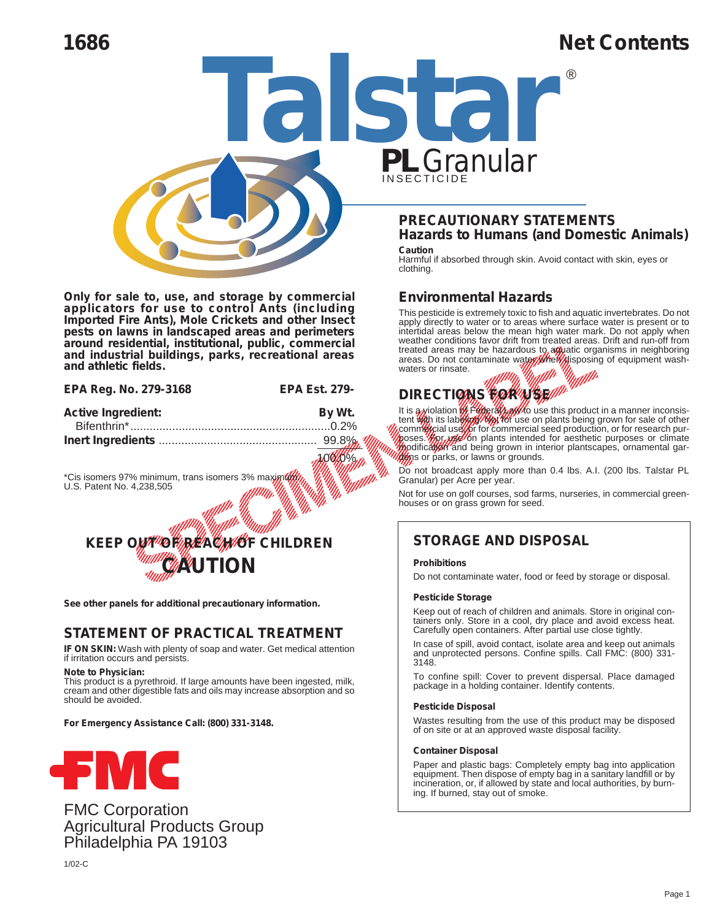# **1686 Net Contents**

®



**Only for sale to, use, and storage by commercial applicators for use to control Ants (including Imported Fire Ants), Mole Crickets and other Insect pests on lawns in landscaped areas and perimeters around residential, institutional, public, commercial and industrial buildings, parks, recreational areas and athletic fields.**

| EPA Reg. No. 279-3168 | <b>EPA Est. 279-</b> |
|-----------------------|----------------------|
| Antitra Immediate     | <b>D.JUL</b>         |

| <b>Active Ingredient:</b>                                                       | By Wt. | lt is a <b>∧</b> vio               |
|---------------------------------------------------------------------------------|--------|------------------------------------|
|                                                                                 |        | tent <b>wah</b><br><b>Acommete</b> |
|                                                                                 |        | poses. $\mathscr G$                |
|                                                                                 |        | podifical<br><b>20⊝</b> ກsorp      |
| *Cis isomers 97% minimum, trans isomers 3% maximum<br>U.S. Patent No. 4,238,505 |        | Do not b<br>Granular               |
|                                                                                 |        | Not for u<br>houses c              |
|                                                                                 |        |                                    |



**See other panels for additional precautionary information.**

# **STATEMENT OF PRACTICAL TREATMENT**

**IF ON SKIN:** Wash with plenty of soap and water. Get medical attention if irritation occurs and persists.

**Note to Physician:**

This product is a pyrethroid. If large amounts have been ingested, milk, cream and other digestible fats and oils may increase absorption and so should be avoided.

**For Emergency Assistance Call: (800) 331-3148.**



FMC Corporation Agricultural Products Group Philadelphia PA 19103

1/02-C



#### **Caution**

Harmful if absorbed through skin. Avoid contact with skin, eyes or clothing.

### **Environmental Hazards**

The Material Strategy of the Material Contains the Containment of the Material Contains of the Material Contains of the Material Contains of the Material Contains of the Material Contains of the Material Contains of the Ma imiais<br>*atilli* below the mean improvement in the contract of the contract of the contract of the contract of the contract of the contract of the contract of the contract of the contract of the contract of the contract of the contract of a**g**yat<br>ef<mark>//</mark>gis Editious Manuel Organisms<br>the water Manuscript Manuel County<br>Manuel Manuel Manuel Manuel County<br>Manuel County of the product in a manuel of the senior for The mean initiative means. Drift<br>azardous to a platic organisms<br>ate water *Means in the means of the material*<br>ate water *Means in the means of e*<br>**All material** Ellin<br>Historia<br>Allin This pesticide is extremely toxic to fish and aquatic invertebrates. Do not apply directly to water or to areas where surface water is present or to intertidal areas below the mean high water mark. Do not apply when weather conditions favor drift from treated areas. Drift and run-off from treated areas may be hazardous to aw atic organisms in neighboring areas. Do not contaminate water Met disposing of equipment washwaters or rinsate.

# **DIRECTIONS FOR USE!**

 -Wt. It is a violation we then the community is about the set of the set of the set of the set of the set of the set of the set of the set of the set of the set of the set of the set of the set of the set of the set of the **DIRECTION**<br>
It is a violation<br>
tent (the its laboration)<br>
communication and beginning<br>
posses. (the internation)<br>
model of parks, or laboration<br>
(the possibly parks)<br>
Do not broadcast  $\frac{1}{2}$ <br>  $\frac{1}{2}$ <br>  $\frac{1}{2}$ <br>  $\frac{1}{2}$ <br>  $\frac{1}{2}$ <br>  $\frac{1}{2}$ <br>  $\frac{1}{2}$ <br>  $\frac{1}{2}$ <br>  $\frac{1}{2}$ <br>  $\frac{1}{2}$ <br>  $\frac{1}{2}$ <br>  $\frac{1}{2}$ <br>  $\frac{1}{2}$ <br>  $\frac{1}{2}$ <br>  $\frac{1}{2}$ <br>  $\frac{1}{2}$ <br>  $\frac{1}{2}$ <br>  $\frac{1}{2}$ <br>  $\frac{1}{2}$ <br>  $\frac{1}{2}$ <br> Thisate.<br>
CTIONS WORKING THE lation of Fight May 12 to use<br>
tis labor for commercial section of the Unit<br>
State of the Units intended<br>
State of Lawns or grounds.  $\frac{p}{s}$  prod It is a violation of Federal Law to use this product in a manner inconsistent With its labeling. Night for use on plants being grown for sale of other commet cial use tor commercial seed production, or for research purposes. For use on plants intended for aesthetic purposes or climate modification and being grown in interior plantscapes, ornamental gardens or parks, or lawns or grounds.

**Drams**<br>Do not broadcast apply more than 0.4 lbs. A.I. (200 lbs. Talstar PL<br>Granular) per Acre per vear. Granular) per Acre per year.

 Not for use on golf courses, sod farms, nurseries, in commercial greenhouses or on grass grown for seed.

# **STORAGE AND DISPOSAL**

#### **Prohibitions**

Do not contaminate water, food or feed by storage or disposal.

#### **Pesticide Storage**

Keep out of reach of children and animals. Store in original containers only. Store in a cool, dry place and avoid excess heat. Carefully open containers. After partial use close tightly.

In case of spill, avoid contact, isolate area and keep out animals and unprotected persons. Confine spills. Call FMC: (800) 331- 3148.

To confine spill: Cover to prevent dispersal. Place damaged package in a holding container. Identify contents.

#### **Pesticide Disposal**

Wastes resulting from the use of this product may be disposed of on site or at an approved waste disposal facility.

#### **Container Disposal**

Paper and plastic bags: Completely empty bag into application equipment. Then dispose of empty bag in a sanitary landfill or by incineration, or, if allowed by state and local authorities, by burning. If burned, stay out of smoke.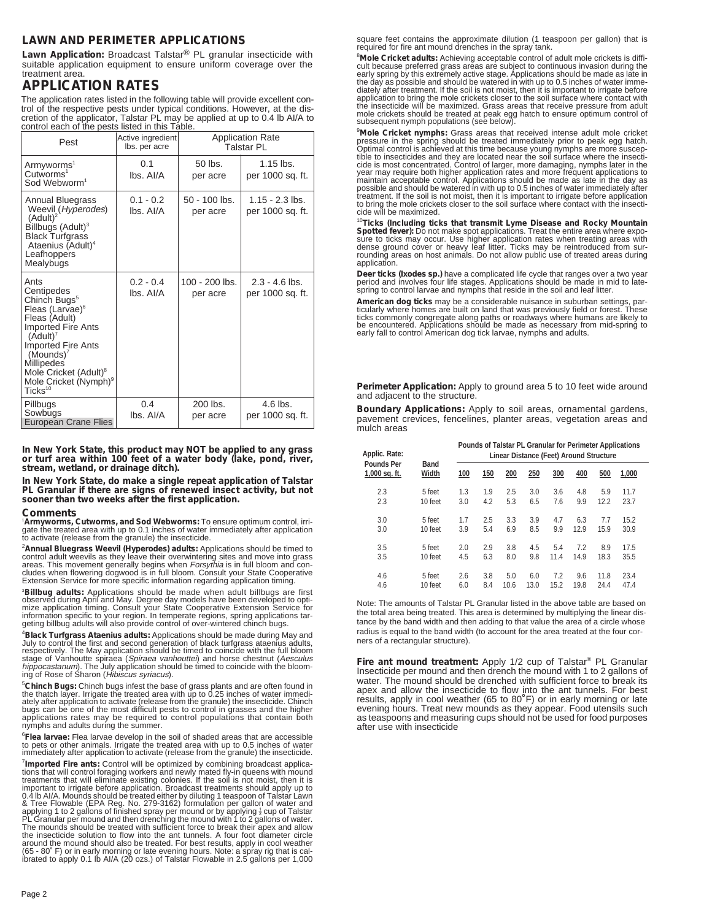### **LAWN AND PERIMETER APPLICATIONS**

**Lawn Application:** Broadcast Talstar® PL granular insecticide with suitable application equipment to ensure uniform coverage over the treatment area

# **APPLICATION RATES**

The application rates listed in the following table will provide excellent control of the respective pests under typical conditions. However, at the discretion of the applicator, Talstar PL may be applied at up to 0.4 lb A

| Pest                                                                                                                                                                                                                                                                                                            | Active ingredient<br>lbs. per acre | <b>Application Rate</b><br>Talstar PL |                                       |  |
|-----------------------------------------------------------------------------------------------------------------------------------------------------------------------------------------------------------------------------------------------------------------------------------------------------------------|------------------------------------|---------------------------------------|---------------------------------------|--|
| Armyworms <sup>1</sup><br>Cutworms <sup>1</sup><br>Sod Webworm <sup>1</sup>                                                                                                                                                                                                                                     | 0.1<br>lbs. Al/A                   | $50$ lbs.<br>per acre                 | $1.15$ lbs.<br>per 1000 sq. ft.       |  |
| Annual Bluegrass<br>Weevil (Hyperodes)<br>(Adult) <sup>2</sup><br>Billbugs (Adult) <sup>3</sup><br><b>Black Turfgrass</b><br>Ataenius (Adult) <sup>4</sup><br>Leafhoppers<br>Mealybugs                                                                                                                          | $0.1 - 0.2$<br>lbs. Al/A           | 50 - 100 lbs.<br>per acre             | $1.15 - 2.3$ lbs.<br>per 1000 sq. ft. |  |
| Ants<br>Centipedes<br>Chinch Bugs <sup>5</sup><br>Fleas (Larvae) <sup>6</sup><br>Fleas (Adult)<br><b>Imported Fire Ants</b><br>(Adult) <sup>7</sup><br><b>Imported Fire Ants</b><br>$(Mounds)^7$<br><b>Millipedes</b><br>Mole Cricket (Adult) <sup>8</sup><br>Mole Cricket (Nymph) <sup>9</sup><br>$Ticks^{10}$ | $0.2 - 0.4$<br>lbs. Al/A           | $100 - 200$ lbs.<br>per acre          | $2.3 - 4.6$ lbs.<br>per 1000 sq. ft.  |  |
| Pillbugs<br>Sowbugs<br>European Crane Flies                                                                                                                                                                                                                                                                     | 0.4<br>lbs. Al/A                   | 200 lbs.<br>per acre                  | $4.6$ lbs.<br>per 1000 sq. ft.        |  |

**In New York State, this product may NOT be applied to any grass or turf area within 100 feet of a water body (lake, pond, river, stream, wetland, or drainage ditch).**

**In New York State, do make a single repeat application of Talstar PL Granular if there are signs of renewed insect activity, but not sooner than two weeks after the first application.**

#### **Comments**

'**Armyworms, Cutworms, and Sod Webworms:** To ensure optimum control, irri-<br>gate the treated area with up to 0.1 inches of water immediately after application<br>to activate (release from the granule) the insecticide.

<sup>2</sup>Annual Bluegrass Weevil (*Hyperodes*) adults: Applications should be timed to control adult weevils as they leave their overwintering sites and move into grass reas. This movement generally begins when *Forrsythia* is i

<sup>3</sup>Billbug adults: Applications should be made when adult billbugs are first observed during April and May. Degree day models have been developed to optimize application timing. Consult your State Cooperative Extension Ser

4 **Black Turfgrass Ataenius adults:** Applications should be made during May and July to control the first and second generation of black turfgrass ataenius adults, respectively. The May application should be timed to coincide with the full bloom stage of Vanhoutte spiraea (Spiraea vanhouttei) and horse chestnut (Aesculus h*ippocastanum*). The July application should be timed to coincide with the bloom-<br>ing of Rose of Sharon (*Hibiscus syriacus*).

<sup>5</sup>Chinch Bugs: Chinch bugs infest the base of grass plants and are often found in<br>the thatch layer. Irrigate the treated area with up to 0.25 inches of water immedi-<br>ately after application to activate (release from the g bugs can be one of the most difficult pests to control in grasses and the higher applications rates may be required to control populations that contain both nymphs and adults during the summer.

6 **Flea larvae:** Flea larvae develop in the soil of shaded areas that are accessible to pets or other animals. Irrigate the treated area with up to 0.5 inches of water immediately after application to activate (release from the granule) the insecticide.

<sup>7</sup> Imported Fire ants: Control will be optimized by combining broadcast applications that will control foraging workers and newly mated fly-in queens with mound<br>treatments that will eliminate existing colonies. If the soil is not moist, then it is<br>important to irrigate before application. Broadcast t 0.4 lb AI/A. Mounds should be treated either by diluting 1 teaspoon of Talstar Lawn<br>& Tree Flowable (EPA Reg. No. 279-3162) formulation per gallon of water and<br>applying 1 to 2 gallons of finished spray per mound or by appl (65 - 80˚ F) or in early morning or late evening hours. Note: a spray rig that is cal-ibrated to apply 0.1 lb AI/A (20 ozs.) of Talstar Flowable in 2.5 gallons per 1,000 square feet contains the approximate dilution (1 teaspoon per gallon) that is required for fire ant mound drenches in the spray tank.

8 **Mole Cricket adults:** Achieving acceptable control of adult mole crickets is difficult because preferred grass areas are subject to continuous invasion during the<br>early spring by this extremely active stage. Applications should be made as late in<br>the day as possible and should be watered in with up to 0 the insecticide will be maximized. Grass areas that receive pressure from adult mole crickets should be treated at peak egg hatch to ensure optimum control of subsequent nymph populations (see below).

<sup>9</sup>Mole Cricket nymphs: Grass areas that received intense adult mole cricket<br>pressure in the spring should be treated immediately prior to peak egg hatch.<br>Optimal control is achieved at this time because young nymphs are m maintain acceptable control. Applications should be made as late in the day as<br>possible and should be watered in with up to 0.5 inches of water immediately after<br>treatment. If the soil is not moist, then it is important to to bring the mole crickets closer to the soil surface where contact with the insecti-cide will be maximized.

<sup>10</sup>Ticks (Including ticks that transmit Lyme Disease and Rocky Mountain Spotted fever): Do not make spot applications. Treat the entire area where exposure to ticks may occur. Use higher application rates when treating ar application.

**Deer ticks** *(Ixodes sp.)* have a complicated life cycle that ranges over a two year<br>period and involves four life stages. Applications should be made in mid to late-<br>spring to control larvae and nymphs that reside in the

**American dog ticks** may be a considerable nuisance in suburban settings, particularly where homes are built on land that was previously field or forest. These<br>ticks commonly congregate along paths or roadways where humans are likely to<br>be encountered. Applications should be made as necessary from

**Perimeter Application:** Apply to ground area 5 to 10 feet wide around and adjacent to the structure.

**Boundary Applications:** Apply to soil areas, ornamental gardens, pavement crevices, fencelines, planter areas, vegetation areas and mulch areas

| Applic. Rate:                      |                      | Pounds of Talstar PL Granular for Perimeter Applications<br>Linear Distance (Feet) Around Structure |     |      |      |      |      |      |       |  |
|------------------------------------|----------------------|-----------------------------------------------------------------------------------------------------|-----|------|------|------|------|------|-------|--|
| <b>Pounds Per</b><br>1,000 sq. ft. | <b>Band</b><br>Width | 100                                                                                                 | 150 | 200  | 250  | 300  | 400  | 500  | 1,000 |  |
| 2.3                                | 5 feet               | 1.3                                                                                                 | 1.9 | 2.5  | 3.0  | 3.6  | 4.8  | 5.9  | 11.7  |  |
| 2.3                                | 10 feet              | 3.0                                                                                                 | 4.2 | 5.3  | 6.5  | 7.6  | 9.9  | 12.2 | 23.7  |  |
| 3.0                                | 5 feet               | 1.7                                                                                                 | 2.5 | 3.3  | 3.9  | 4.7  | 6.3  | 7.7  | 15.2  |  |
| 3.0                                | 10 feet              | 3.9                                                                                                 | 5.4 | 6.9  | 8.5  | 9.9  | 12.9 | 15.9 | 30.9  |  |
| 3.5                                | 5 feet               | 2.0                                                                                                 | 2.9 | 3.8  | 4.5  | 5.4  | 7.2  | 8.9  | 17.5  |  |
| 3.5                                | 10 feet              | 4.5                                                                                                 | 6.3 | 8.0  | 9.8  | 11.4 | 14.9 | 18.3 | 35.5  |  |
| 4.6                                | 5 feet               | 2.6                                                                                                 | 3.8 | 5.0  | 6.0  | 7.2  | 9.6  | 11.8 | 23.4  |  |
| 4.6                                | 10 feet              | 6.0                                                                                                 | 8.4 | 10.6 | 13.0 | 15.2 | 19.8 | 24.4 | 47.4  |  |

Note: The amounts of Talstar PL Granular listed in the above table are based on the total area being treated. This area is determined by multiplying the linear distance by the band width and then adding to that value the area of a circle whose radius is equal to the band width (to account for the area treated at the four corners of a rectangular structure).

Fire ant mound treatment: Apply 1/2 cup of Talstar<sup>®</sup> PL Granular<br>Insecticide per mound and then drench the mound with 1 to 2 gallons of water. The mound should be drenched with sufficient force to break its apex and allow the insecticide to flow into the ant tunnels. For best results, apply in cool weather (65 to 80˚F) or in early morning or late evening hours. Treat new mounds as they appear. Food utensils such as teaspoons and measuring cups should not be used for food purposes after use with insecticide